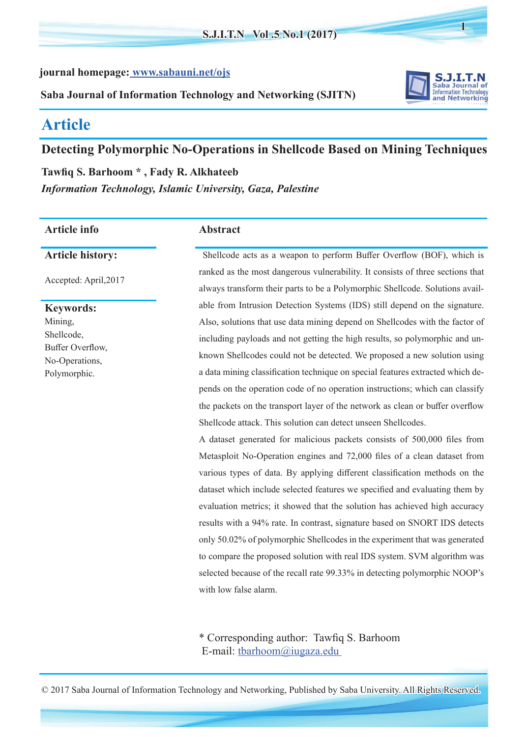**journal homepage: [www.sabauni.net/ojs](http:// www.sabauni.net/ojs)**

**Saba Journal of Information Technology and Networking (SJITN)**



**1**

# **Article**

# **Detecting Polymorphic No-Operations in Shellcode Based on Mining Techniques**

**Tawfiq S. Barhoom \* , Fady R. Alkhateeb** *Information Technology, Islamic University, Gaza, Palestine*

# **Article info Abstract**

**Article history:** 

Accepted: April,2017

**Keywords:**  Mining, Shellcode, Buffer Overflow, No-Operations, Polymorphic.

Shellcode acts as a weapon to perform Buffer Overflow (BOF), which is ranked as the most dangerous vulnerability. It consists of three sections that always transform their parts to be a Polymorphic Shellcode. Solutions available from Intrusion Detection Systems (IDS) still depend on the signature. Also, solutions that use data mining depend on Shellcodes with the factor of including payloads and not getting the high results, so polymorphic and unknown Shellcodes could not be detected. We proposed a new solution using a data mining classification technique on special features extracted which depends on the operation code of no operation instructions; which can classify the packets on the transport layer of the network as clean or buffer overflow Shellcode attack. This solution can detect unseen Shellcodes.

A dataset generated for malicious packets consists of 500,000 files from Metasploit No-Operation engines and 72,000 files of a clean dataset from various types of data. By applying different classification methods on the dataset which include selected features we specified and evaluating them by evaluation metrics; it showed that the solution has achieved high accuracy results with a 94% rate. In contrast, signature based on SNORT IDS detects only 50.02% of polymorphic Shellcodes in the experiment that was generated to compare the proposed solution with real IDS system. SVM algorithm was selected because of the recall rate 99.33% in detecting polymorphic NOOP's with low false alarm.

\* Corresponding author: Tawfiq S. Barhoom E-mail: tbarhoom@iugaza.edu

© 2017 Saba Journal of Information Technology and Networking, Published by Saba University. All Rights Reserved.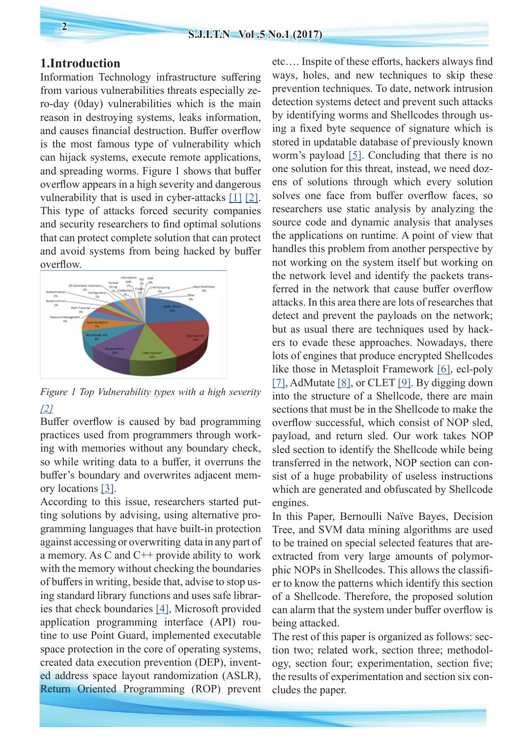## **1.Introduction**

Information Technology infrastructure suffering from various vulnerabilities threats especially zero-day (0day) vulnerabilities which is the main reason in destroying systems, leaks information, and causes financial destruction. Buffer overflow is the most famous type of vulnerability which can hijack systems, execute remote applications, and spreading worms. Figure 1 shows that buffer overflow appears in a high severity and dangerous vulnerability that is used in cyber-attacks [\[1\]](#page-6-0) [\[2\]](#page-6-1). This type of attacks forced security companies and security researchers to find optimal solutions that can protect complete solution that can protect and avoid systems from being hacked by buffer overflow.



*Figure 1 Top Vulnerability types with a high severity [\[2\]](#page-6-1)*

Buffer overflow is caused by bad programming practices used from programmers through working with memories without any boundary check, so while writing data to a buffer, it overruns the buffer's boundary and overwrites adjacent memory locations [\[3\].](#page-6-2)

According to this issue, researchers started putting solutions by advising, using alternative programming languages that have built-in protection against accessing or overwriting data in any part of a memory. As C and  $C++$  provide ability to work with the memory without checking the boundaries of buffers in writing, beside that, advise to stop using standard library functions and uses safe libraries that check boundaries [\[4\]](#page-6-3), Microsoft provided application programming interface (API) routine to use Point Guard, implemented executable space protection in the core of operating systems, created data execution prevention (DEP), invented address space layout randomization (ASLR), Return Oriented Programming (ROP) prevent

etc…. Inspite of these efforts, hackers always find ways, holes, and new techniques to skip these prevention techniques. To date, network intrusion detection systems detect and prevent such attacks by identifying worms and Shellcodes through using a fixed byte sequence of signature which is stored in updatable database of previously known worm's payload [\[5\]](#page-6-4). Concluding that there is no one solution for this threat, instead, we need dozens of solutions through which every solution solves one face from buffer overflow faces, so researchers use static analysis by analyzing the source code and dynamic analysis that analyses the applications on runtime. A point of view that handles this problem from another perspective by not working on the system itself but working on the network level and identify the packets transferred in the network that cause buffer overflow attacks. In this area there are lots of researches that detect and prevent the payloads on the network; but as usual there are techniques used by hackers to evade these approaches. Nowadays, there lots of engines that produce encrypted Shellcodes like those in Metasploit Framework [\[6\]](#page-6-5), ecl-poly [\[7\],](#page-6-6) AdMutate [\[8\]](#page-6-7), or CLET [\[9\]](#page-6-8). By digging down into the structure of a Shellcode, there are main sections that must be in the Shellcode to make the overflow successful, which consist of NOP sled, payload, and return sled. Our work takes NOP sled section to identify the Shellcode while being transferred in the network, NOP section can consist of a huge probability of useless instructions which are generated and obfuscated by Shellcode engines.

In this Paper, Bernoulli Naïve Bayes, Decision Tree, and SVM data mining algorithms are used to be trained on special selected features that areextracted from very large amounts of polymorphic NOPs in Shellcodes. This allows the classifier to know the patterns which identify this section of a Shellcode. Therefore, the proposed solution can alarm that the system under buffer overflow is being attacked.

The rest of this paper is organized as follows: section two; related work, section three; methodology, section four; experimentation, section five; the results of experimentation and section six concludes the paper.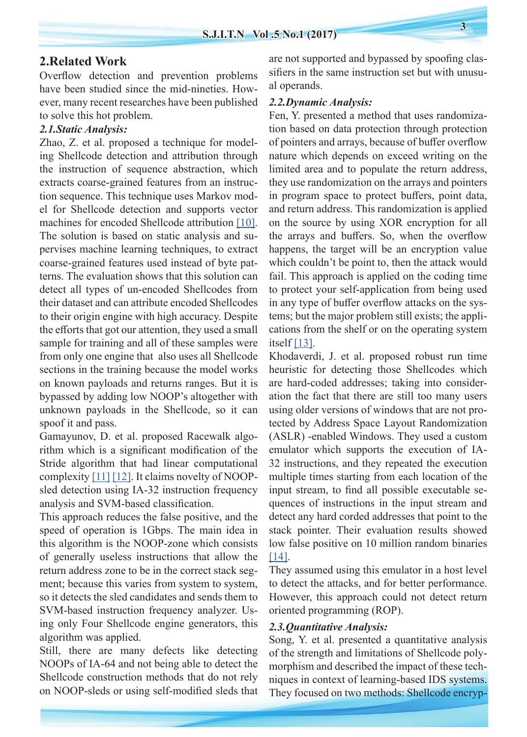## **2.Related Work**

Overflow detection and prevention problems have been studied since the mid-nineties. However, many recent researches have been published to solve this hot problem.

#### *2.1.Static Analysis:*

Zhao, Z. et al. proposed a technique for modeling Shellcode detection and attribution through the instruction of sequence abstraction, which extracts coarse-grained features from an instruction sequence. This technique uses Markov model for Shellcode detection and supports vector machines for encoded Shellcode attribution [\[10\]](#page-6-9). The solution is based on static analysis and supervises machine learning techniques, to extract coarse-grained features used instead of byte patterns. The evaluation shows that this solution can detect all types of un-encoded Shellcodes from their dataset and can attribute encoded Shellcodes to their origin engine with high accuracy. Despite the efforts that got our attention, they used a small sample for training and all of these samples were from only one engine that also uses all Shellcode sections in the training because the model works on known payloads and returns ranges. But it is bypassed by adding low NOOP's altogether with unknown payloads in the Shellcode, so it can spoof it and pass.

Gamayunov, D. et al. proposed Racewalk algorithm which is a significant modification of the Stride algorithm that had linear computational complexity  $[11] [12]$  $[11] [12]$  $[11] [12]$ . It claims novelty of NOOPsled detection using IA-32 instruction frequency analysis and SVM-based classification.

This approach reduces the false positive, and the speed of operation is 1Gbps. The main idea in this algorithm is the NOOP-zone which consists of generally useless instructions that allow the return address zone to be in the correct stack segment; because this varies from system to system, so it detects the sled candidates and sends them to SVM-based instruction frequency analyzer. Using only Four Shellcode engine generators, this algorithm was applied.

Still, there are many defects like detecting NOOPs of IA-64 and not being able to detect the Shellcode construction methods that do not rely on NOOP-sleds or using self-modified sleds that are not supported and bypassed by spoofing classifiers in the same instruction set but with unusual operands.

#### *2.2.Dynamic Analysis:*

Fen, Y. presented a method that uses randomization based on data protection through protection of pointers and arrays, because of buffer overflow nature which depends on exceed writing on the limited area and to populate the return address, they use randomization on the arrays and pointers in program space to protect buffers, point data, and return address. This randomization is applied on the source by using XOR encryption for all the arrays and buffers. So, when the overflow happens, the target will be an encryption value which couldn't be point to, then the attack would fail. This approach is applied on the coding time to protect your self-application from being used in any type of buffer overflow attacks on the systems; but the major problem still exists; the applications from the shelf or on the operating system itself [\[13\]](#page-6-12).

Khodaverdi, J. et al. proposed robust run time heuristic for detecting those Shellcodes which are hard-coded addresses; taking into consideration the fact that there are still too many users using older versions of windows that are not protected by Address Space Layout Randomization (ASLR) -enabled Windows. They used a custom emulator which supports the execution of IA-32 instructions, and they repeated the execution multiple times starting from each location of the input stream, to find all possible executable sequences of instructions in the input stream and detect any hard corded addresses that point to the stack pointer. Their evaluation results showed low false positive on 10 million random binaries [\[14\]](#page-6-13).

They assumed using this emulator in a host level to detect the attacks, and for better performance. However, this approach could not detect return oriented programming (ROP).

#### *2.3.Quantitative Analysis:*

Song, Y. et al. presented a quantitative analysis of the strength and limitations of Shellcode polymorphism and described the impact of these techniques in context of learning-based IDS systems. They focused on two methods: Shellcode encryp-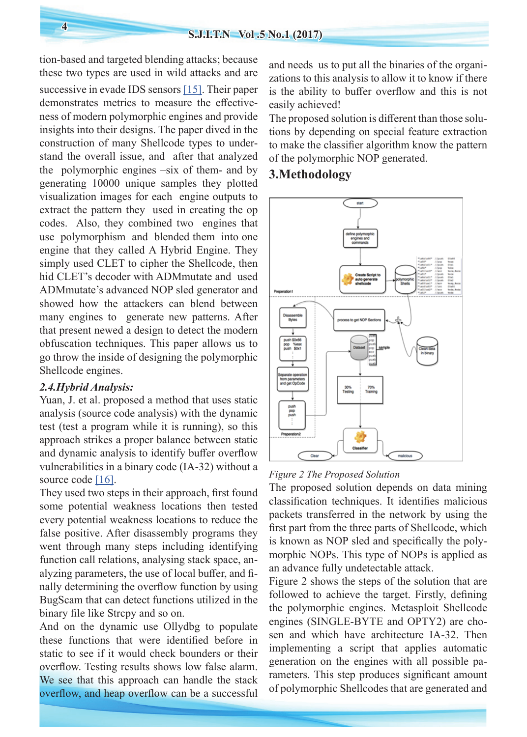tion-based and targeted blending attacks; because these two types are used in wild attacks and are successive in evade IDS sensors [\[15\]](#page-6-14). Their paper demonstrates metrics to measure the effectiveness of modern polymorphic engines and provide insights into their designs. The paper dived in the construction of many Shellcode types to understand the overall issue, and after that analyzed the polymorphic engines –six of them- and by generating 10000 unique samples they plotted visualization images for each engine outputs to extract the pattern they used in creating the op codes. Also, they combined two engines that use polymorphism and blended them into one engine that they called A Hybrid Engine. They simply used CLET to cipher the Shellcode, then hid CLET's decoder with ADMmutate and used ADMmutate's advanced NOP sled generator and showed how the attackers can blend between many engines to generate new patterns. After that present newed a design to detect the modern obfuscation techniques. This paper allows us to go throw the inside of designing the polymorphic Shellcode engines.

# *2.4.Hybrid Analysis:*

Yuan, J. et al. proposed a method that uses static analysis (source code analysis) with the dynamic test (test a program while it is running), so this approach strikes a proper balance between static and dynamic analysis to identify buffer overflow vulnerabilities in a binary code (IA-32) without a source code [\[16\]](#page-6-15).

They used two steps in their approach, first found some potential weakness locations then tested every potential weakness locations to reduce the false positive. After disassembly programs they went through many steps including identifying function call relations, analysing stack space, analyzing parameters, the use of local buffer, and finally determining the overflow function by using BugScam that can detect functions utilized in the binary file like Strcpy and so on.

And on the dynamic use Ollydbg to populate these functions that were identified before in static to see if it would check bounders or their overflow. Testing results shows low false alarm. We see that this approach can handle the stack overflow, and heap overflow can be a successful

and needs us to put all the binaries of the organizations to this analysis to allow it to know if there is the ability to buffer overflow and this is not easily achieved!

The proposed solution is different than those solutions by depending on special feature extraction to make the classifier algorithm know the pattern of the polymorphic NOP generated.

# **3.Methodology**



### *Figure 2 The Proposed Solution*

The proposed solution depends on data mining classification techniques. It identifies malicious packets transferred in the network by using the first part from the three parts of Shellcode, which is known as NOP sled and specifically the polymorphic NOPs. This type of NOPs is applied as an advance fully undetectable attack.

Figure 2 shows the steps of the solution that are followed to achieve the target. Firstly, defining the polymorphic engines. Metasploit Shellcode engines (SINGLE-BYTE and OPTY2) are chosen and which have architecture IA-32. Then implementing a script that applies automatic generation on the engines with all possible parameters. This step produces significant amount of polymorphic Shellcodes that are generated and

**4**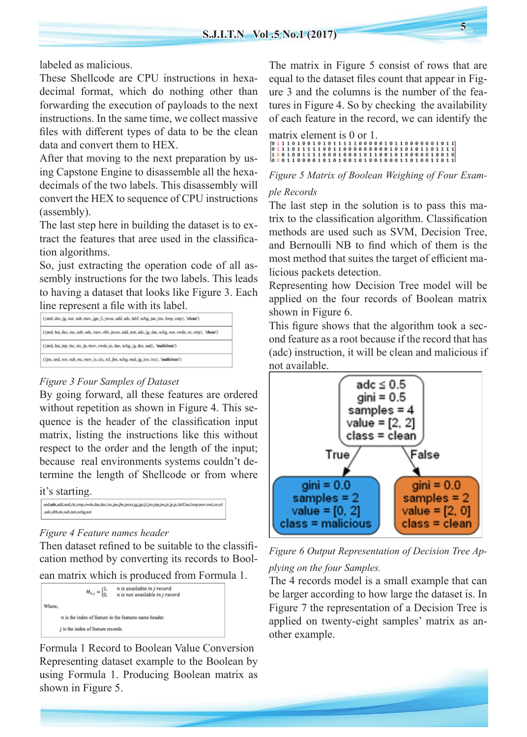labeled as malicious.

These Shellcode are CPU instructions in hexadecimal format, which do nothing other than forwarding the execution of payloads to the next instructions. In the same time, we collect massive files with different types of data to be the clean data and convert them to HEX.

After that moving to the next preparation by using Capstone Engine to disassemble all the hexadecimals of the two labels. This disassembly will convert the HEX to sequence of CPU instructions (assembly).

The last step here in building the dataset is to extract the features that aree used in the classification algorithms.

So, just extracting the operation code of all assembly instructions for the two labels. This leads to having a dataset that looks like Figure 3. Each line represent a file with its label.

| ({and, lea, dec, inc, sub, sale, mov, sbb, jecxz, add, test, adc, jg, das, xchg, xor, cwde, or, cmp}, 'clean') |
|----------------------------------------------------------------------------------------------------------------|
|                                                                                                                |
|                                                                                                                |
|                                                                                                                |

#### *Figure 3 Four Samples of Dataset*

By going forward, all these features are ordered without repetition as shown in Figure 4. This sequence is the header of the classification input matrix, listing the instructions like this without respect to the order and the length of the input; because real environments systems couldn't determine the length of Shellcode or from where

it's starting.

| and,adc,add,and,clc,cmp,cwde,das,dec,inc,jae,jbe,jecxz,jg,jge,jl,jno,jnp,jns,jo,jp,js,lahf,lea,loop,mov,mul,or,rcl |  |
|--------------------------------------------------------------------------------------------------------------------|--|
| sale,sbb,ste,sub,test,xchg,xor                                                                                     |  |

#### *Figure 4 Feature names header*

Then dataset refined to be suitable to the classification method by converting its records to Bool-

ean matrix which is produced from Formula 1.

|        | $M_{n,j} = \begin{cases} 1, \\ 0, \end{cases}$         | n is available in j record<br>n is not available in j record |  |  |  |
|--------|--------------------------------------------------------|--------------------------------------------------------------|--|--|--|
| Where, |                                                        |                                                              |  |  |  |
|        | n is the index of feature in the features name header. |                                                              |  |  |  |
|        | $j$ is the index of feature records.                   |                                                              |  |  |  |

Formula 1 Record to Boolean Value Conversion Representing dataset example to the Boolean by using Formula 1. Producing Boolean matrix as shown in Figure 5.

The matrix in Figure 5 consist of rows that are equal to the dataset files count that appear in Figure 3 and the columns is the number of the features in Figure 4. So by checking the availability of each feature in the record, we can identify the

matrix element is 0 or 1. 

## *Figure 5 Matrix of Boolean Weighing of Four Exam-*

# *ple Records*

The last step in the solution is to pass this matrix to the classification algorithm. Classification methods are used such as SVM, Decision Tree, and Bernoulli NB to find which of them is the most method that suites the target of efficient malicious packets detection.

Representing how Decision Tree model will be applied on the four records of Boolean matrix shown in Figure 6.

This figure shows that the algorithm took a second feature as a root because if the record that has (adc) instruction, it will be clean and malicious if not available.





The 4 records model is a small example that can be larger according to how large the dataset is. In Figure 7 the representation of a Decision Tree is applied on twenty-eight samples' matrix as another example.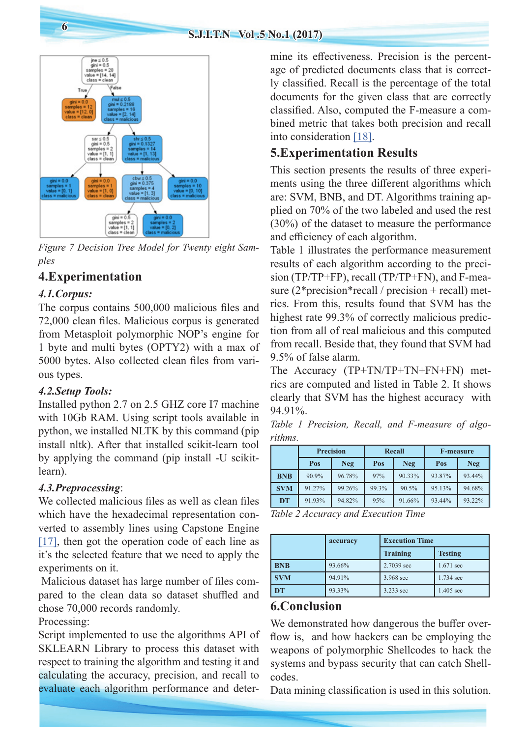

*Figure 7 Decision Tree Model for Twenty eight Samples*

# **4.Experimentation**

# *4.1.Corpus:*

The corpus contains 500,000 malicious files and 72,000 clean files. Malicious corpus is generated from Metasploit polymorphic NOP's engine for 1 byte and multi bytes (OPTY2) with a max of 5000 bytes. Also collected clean files from various types.

# *4.2.Setup Tools:*

Installed python 2.7 on 2.5 GHZ core I7 machine with 10Gb RAM. Using script tools available in python, we installed NLTK by this command (pip install nltk). After that installed scikit-learn tool by applying the command (pip install -U scikitlearn).

# *4.3.Preprocessing*:

We collected malicious files as well as clean files which have the hexadecimal representation converted to assembly lines using Capstone Engine  $[17]$ , then got the operation code of each line as it's the selected feature that we need to apply the experiments on it.

 Malicious dataset has large number of files compared to the clean data so dataset shuffled and chose 70,000 records randomly.

Processing:

Script implemented to use the algorithms API of SKLEARN Library to process this dataset with respect to training the algorithm and testing it and calculating the accuracy, precision, and recall to evaluate each algorithm performance and determine its effectiveness. Precision is the percentage of predicted documents class that is correctly classified. Recall is the percentage of the total documents for the given class that are correctly classified. Also, computed the F-measure a combined metric that takes both precision and recall into consideration [\[18\]](#page-6-17).

# **5.Experimentation Results**

This section presents the results of three experiments using the three different algorithms which are: SVM, BNB, and DT. Algorithms training applied on 70% of the two labeled and used the rest (30%) of the dataset to measure the performance and efficiency of each algorithm.

Table 1 illustrates the performance measurement results of each algorithm according to the precision (TP/TP+FP), recall (TP/TP+FN), and F-measure  $(2*)$  precision\* recall / precision + recall) metrics. From this, results found that SVM has the highest rate 99.3% of correctly malicious prediction from all of real malicious and this computed from recall. Beside that, they found that SVM had 9.5% of false alarm.

The Accuracy (TP+TN/TP+TN+FN+FN) metrics are computed and listed in Table 2. It shows clearly that SVM has the highest accuracy with 94.91%.

*Table 1 Precision, Recall, and F-measure of algorithms.*

|            | <b>Precision</b> |        | <b>Recall</b> |        | <b>F-measure</b> |        |
|------------|------------------|--------|---------------|--------|------------------|--------|
|            | Pos              | Neg    | Pos           | Neg.   | Pos              | Neg    |
| <b>BNB</b> | 90.9%            | 96.78% | 97%           | 90.33% | 93.87%           | 93.44% |
| <b>SVM</b> | 91.27%           | 99.26% | 99.3%         | 90.5%  | 95.13%           | 94.68% |
| <b>DT</b>  | 91.93%           | 94.82% | 95%           | 91.66% | 93.44%           | 93.22% |

*Table 2 Accuracy and Execution Time*

|            | accuracy | <b>Execution Time</b> |                |  |
|------------|----------|-----------------------|----------------|--|
|            |          | <b>Training</b>       | <b>Testing</b> |  |
| <b>BNB</b> | 93.66%   | 2.7039 sec            | 1.671 sec      |  |
| <b>SVM</b> | 94.91%   | 3.968 sec             | 1.734 sec      |  |
| DT         | 93.33%   | 3.233 sec             | 1.405 sec      |  |

# **6.Conclusion**

We demonstrated how dangerous the buffer overflow is, and how hackers can be employing the weapons of polymorphic Shellcodes to hack the systems and bypass security that can catch Shellcodes.

Data mining classification is used in this solution.